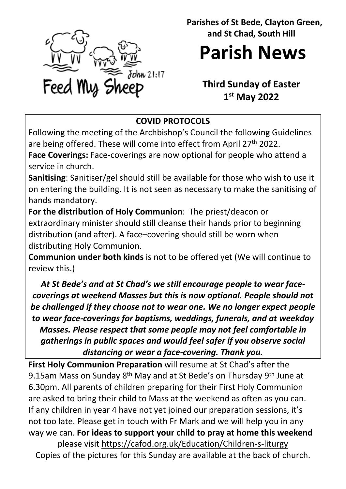

 **Parishes of St Bede, Clayton Green, and St Chad, South Hill**

**Parish News**

# **Third Sunday of Easter 1st May 2022**

## **COVID PROTOCOLS**

Following the meeting of the Archbishop's Council the following Guidelines are being offered. These will come into effect from April 27<sup>th</sup> 2022.

**Face Coverings:** Face-coverings are now optional for people who attend a service in church.

**Sanitising**: Sanitiser/gel should still be available for those who wish to use it on entering the building. It is not seen as necessary to make the sanitising of hands mandatory.

**For the distribution of Holy Communion**: The priest/deacon or extraordinary minister should still cleanse their hands prior to beginning distribution (and after). A face–covering should still be worn when distributing Holy Communion.

**Communion under both kinds** is not to be offered yet (We will continue to review this.)

*At St Bede's and at St Chad's we still encourage people to wear facecoverings at weekend Masses but this is now optional. People should not be challenged if they choose not to wear one. We no longer expect people to wear face-coverings for baptisms, weddings, funerals, and at weekday Masses. Please respect that some people may not feel comfortable in gatherings in public spaces and would feel safer if you observe social distancing or wear a face-covering. Thank you.*

**First Holy Communion Preparation** will resume at St Chad's after the 9.15am Mass on Sunday 8<sup>th</sup> May and at St Bede's on Thursday 9<sup>th</sup> June at 6.30pm. All parents of children preparing for their First Holy Communion are asked to bring their child to Mass at the weekend as often as you can. If any children in year 4 have not yet joined our preparation sessions, it's not too late. Please get in touch with Fr Mark and we will help you in any way we can. **For ideas to support your child to pray at home this weekend** please visit<https://cafod.org.uk/Education/Children-s-liturgy>

Copies of the pictures for this Sunday are available at the back of church.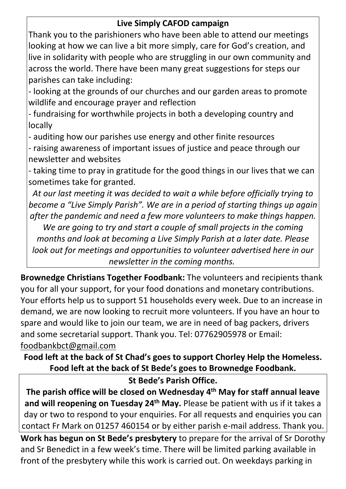### **Live Simply CAFOD campaign**

Thank you to the parishioners who have been able to attend our meetings looking at how we can live a bit more simply, care for God's creation, and live in solidarity with people who are struggling in our own community and across the world. There have been many great suggestions for steps our parishes can take including:

- looking at the grounds of our churches and our garden areas to promote wildlife and encourage prayer and reflection

- fundraising for worthwhile projects in both a developing country and locally

- auditing how our parishes use energy and other finite resources

- raising awareness of important issues of justice and peace through our newsletter and websites

- taking time to pray in gratitude for the good things in our lives that we can sometimes take for granted.

*At our last meeting it was decided to wait a while before officially trying to become a "Live Simply Parish". We are in a period of starting things up again after the pandemic and need a few more volunteers to make things happen.* 

*We are going to try and start a couple of small projects in the coming months and look at becoming a Live Simply Parish at a later date. Please look out for meetings and opportunities to volunteer advertised here in our newsletter in the coming months.*

**Brownedge Christians Together Foodbank:** The volunteers and recipients thank you for all your support, for your food donations and monetary contributions. Your efforts help us to support 51 households every week. Due to an increase in demand, we are now looking to recruit more volunteers. If you have an hour to spare and would like to join our team, we are in need of bag packers, drivers and some secretarial support. Thank you. Tel: 07762905978 or Email: [foodbankbct@gmail.com](mailto:foodbankbct@gmail.com) 

**Food left at the back of St Chad's goes to support Chorley Help the Homeless. Food left at the back of St Bede's goes to Brownedge Foodbank.**

#### **St Bede's Parish Office.**

**The parish office will be closed on Wednesday 4th May for staff annual leave**  and will reopening on Tuesday 24<sup>th</sup> May. Please be patient with us if it takes a day or two to respond to your enquiries. For all requests and enquiries you can contact Fr Mark on 01257 460154 or by either parish e-mail address. Thank you.

**Work has begun on St Bede's presbytery** to prepare for the arrival of Sr Dorothy and Sr Benedict in a few week's time. There will be limited parking available in front of the presbytery while this work is carried out. On weekdays parking in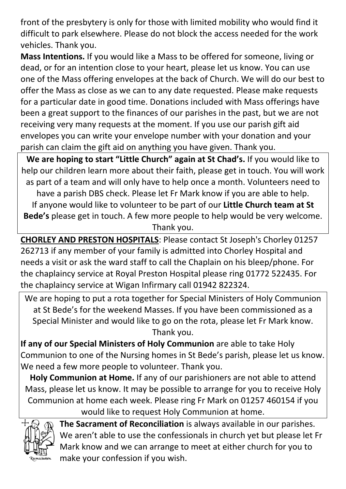front of the presbytery is only for those with limited mobility who would find it difficult to park elsewhere. Please do not block the access needed for the work vehicles. Thank you.

**Mass Intentions.** If you would like a Mass to be offered for someone, living or dead, or for an intention close to your heart, please let us know. You can use one of the Mass offering envelopes at the back of Church. We will do our best to offer the Mass as close as we can to any date requested. Please make requests for a particular date in good time. Donations included with Mass offerings have been a great support to the finances of our parishes in the past, but we are not receiving very many requests at the moment. If you use our parish gift aid envelopes you can write your envelope number with your donation and your parish can claim the gift aid on anything you have given. Thank you.

**We are hoping to start "Little Church" again at St Chad's.** If you would like to help our children learn more about their faith, please get in touch. You will work as part of a team and will only have to help once a month. Volunteers need to have a parish DBS check. Please let Fr Mark know if you are able to help. If anyone would like to volunteer to be part of our **Little Church team at St Bede's** please get in touch. A few more people to help would be very welcome. Thank you.

**CHORLEY AND PRESTON HOSPITALS**: Please contact St Joseph's Chorley 01257 262713 if any member of your family is admitted into Chorley Hospital and needs a visit or ask the ward staff to call the Chaplain on his bleep/phone. For the chaplaincy service at Royal Preston Hospital please ring 01772 522435. For the chaplaincy service at Wigan Infirmary call 01942 822324.

We are hoping to put a rota together for Special Ministers of Holy Communion at St Bede's for the weekend Masses. If you have been commissioned as a Special Minister and would like to go on the rota, please let Fr Mark know. Thank you.

**If any of our Special Ministers of Holy Communion** are able to take Holy Communion to one of the Nursing homes in St Bede's parish, please let us know. We need a few more people to volunteer. Thank you.

**Holy Communion at Home.** If any of our parishioners are not able to attend Mass, please let us know. It may be possible to arrange for you to receive Holy Communion at home each week. Please ring Fr Mark on 01257 460154 if you would like to request Holy Communion at home.



**The Sacrament of Reconciliation** is always available in our parishes. We aren't able to use the confessionals in church yet but please let Fr Mark know and we can arrange to meet at either church for you to make your confession if you wish.